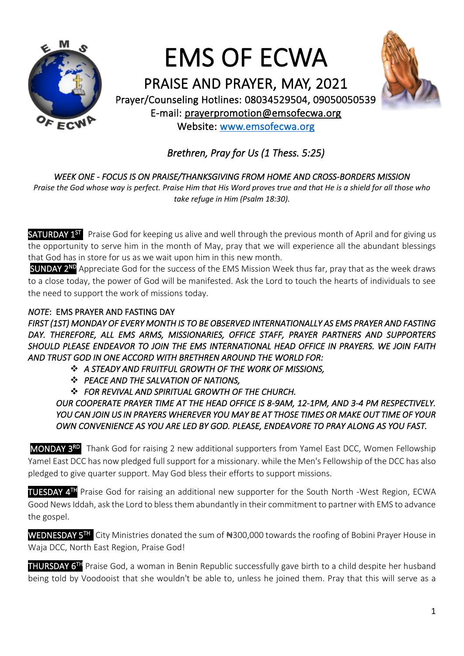

# EMS OF ECWA



PRAISE AND PRAYER, MAY, 2021 Prayer/Counseling Hotlines: 08034529504, 09050050539 E-mail: [prayerpromotion@emsofecwa.org](mailto:prayerpromotion@emsofecwa.org) Website: [www.emsofecwa.org](http://www.emsofecwa.org/)

# *Brethren, Pray for Us (1 Thess. 5:25)*

# *WEEK ONE - FOCUS IS ON PRAISE/THANKSGIVING FROM HOME AND CROSS-BORDERS MISSION*

*Praise the God whose way is perfect. Praise Him that His Word proves true and that He is a shield for all those who take refuge in Him (Psalm 18:30).*

SATURDAY 1<sup>ST</sup>. Praise God for keeping us alive and well through the previous month of April and for giving us the opportunity to serve him in the month of May, pray that we will experience all the abundant blessings that God has in store for us as we wait upon him in this new month.

SUNDAY 2<sup>ND</sup> Appreciate God for the success of the EMS Mission Week thus far, pray that as the week draws to a close today, the power of God will be manifested. Ask the Lord to touch the hearts of individuals to see the need to support the work of missions today.

# *NOTE*: EMS PRAYER AND FASTING DAY

*FIRST (1ST) MONDAY OF EVERY MONTH IS TO BE OBSERVED INTERNATIONALLY AS EMS PRAYER AND FASTING DAY. THEREFORE, ALL EMS ARMS, MISSIONARIES, OFFICE STAFF, PRAYER PARTNERS AND SUPPORTERS SHOULD PLEASE ENDEAVOR TO JOIN THE EMS INTERNATIONAL HEAD OFFICE IN PRAYERS. WE JOIN FAITH AND TRUST GOD IN ONE ACCORD WITH BRETHREN AROUND THE WORLD FOR:*

- ❖ *A STEADY AND FRUITFUL GROWTH OF THE WORK OF MISSIONS,*
- ❖ *PEACE AND THE SALVATION OF NATIONS,*
- ❖ *FOR REVIVAL AND SPIRITUAL GROWTH OF THE CHURCH.*

*OUR COOPERATE PRAYER TIME AT THE HEAD OFFICE IS 8-9AM, 12-1PM, AND 3-4 PM RESPECTIVELY. YOU CAN JOIN US IN PRAYERS WHEREVER YOU MAY BE AT THOSE TIMES OR MAKE OUT TIME OF YOUR OWN CONVENIENCE AS YOU ARE LED BY GOD. PLEASE, ENDEAVORE TO PRAY ALONG AS YOU FAST.* 

MONDAY 3<sup>RD</sup> Thank God for raising 2 new additional supporters from Yamel East DCC, Women Fellowship Yamel East DCC has now pledged full support for a missionary. while the Men's Fellowship of the DCC has also pledged to give quarter support. May God bless their efforts to support missions.

TUESDAY 4 TH Praise God for raising an additional new supporter for the South North -West Region, ECWA Good News Iddah, ask the Lord to bless them abundantly in their commitment to partner with EMS to advance the gospel.

WEDNESDAY 5<sup>TH</sup> City Ministries donated the sum of #300,000 towards the roofing of Bobini Prayer House in Waja DCC, North East Region, Praise God!

THURSDAY 6<sup>TH</sup> Praise God, a woman in Benin Republic successfully gave birth to a child despite her husband being told by Voodooist that she wouldn't be able to, unless he joined them. Pray that this will serve as a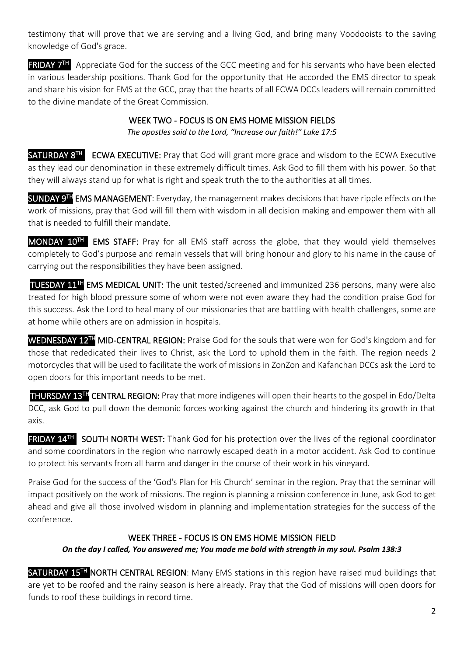testimony that will prove that we are serving and a living God, and bring many Voodooists to the saving knowledge of God's grace.

**FRIDAY 7<sup>TH</sup>** Appreciate God for the success of the GCC meeting and for his servants who have been elected in various leadership positions. Thank God for the opportunity that He accorded the EMS director to speak and share his vision for EMS at the GCC, pray that the hearts of all ECWA DCCs leaders will remain committed to the divine mandate of the Great Commission.

#### WEEK TWO - FOCUS IS ON EMS HOME MISSION FIELDS *The apostles said to the Lord, "Increase our faith!" Luke 17:5*

SATURDAY 8<sup>TH</sup> ECWA EXECUTIVE: Pray that God will grant more grace and wisdom to the ECWA Executive as they lead our denomination in these extremely difficult times. Ask God to fill them with his power. So that they will always stand up for what is right and speak truth the to the authorities at all times.

SUNDAY 9<sup>TH</sup> EMS MANAGEMENT: Everyday, the management makes decisions that have ripple effects on the work of missions, pray that God will fill them with wisdom in all decision making and empower them with all that is needed to fulfill their mandate.

MONDAY 10<sup>TH</sup> EMS STAFF: Pray for all EMS staff across the globe, that they would yield themselves completely to God's purpose and remain vessels that will bring honour and glory to his name in the cause of carrying out the responsibilities they have been assigned.

 TUESDAY 11TH EMS MEDICAL UNIT: The unit tested/screened and immunized 236 persons, many were also treated for high blood pressure some of whom were not even aware they had the condition praise God for this success. Ask the Lord to heal many of our missionaries that are battling with health challenges, some are at home while others are on admission in hospitals.

WEDNESDAY 12<sup>TH</sup> MID-CENTRAL REGION: Praise God for the souls that were won for God's kingdom and for those that rededicated their lives to Christ, ask the Lord to uphold them in the faith. The region needs 2 motorcycles that will be used to facilitate the work of missions in ZonZon and Kafanchan DCCs ask the Lord to open doors for this important needs to be met.

THURSDAY 13TH CENTRAL REGION: Pray that more indigenes will open their hearts to the gospel in Edo/Delta DCC, ask God to pull down the demonic forces working against the church and hindering its growth in that axis.

**FRIDAY 14TH SOUTH NORTH WEST:** Thank God for his protection over the lives of the regional coordinator and some coordinators in the region who narrowly escaped death in a motor accident. Ask God to continue to protect his servants from all harm and danger in the course of their work in his vineyard.

Praise God for the success of the 'God's Plan for His Church' seminar in the region. Pray that the seminar will impact positively on the work of missions. The region is planning a mission conference in June, ask God to get ahead and give all those involved wisdom in planning and implementation strategies for the success of the conference.

# WEEK THREE - FOCUS IS ON EMS HOME MISSION FIELD

*On the day I called, You answered me; You made me bold with strength in my soul. Psalm 138:3*

SATURDAY 15<sup>TH</sup> NORTH CENTRAL REGION: Many EMS stations in this region have raised mud buildings that are yet to be roofed and the rainy season is here already. Pray that the God of missions will open doors for funds to roof these buildings in record time.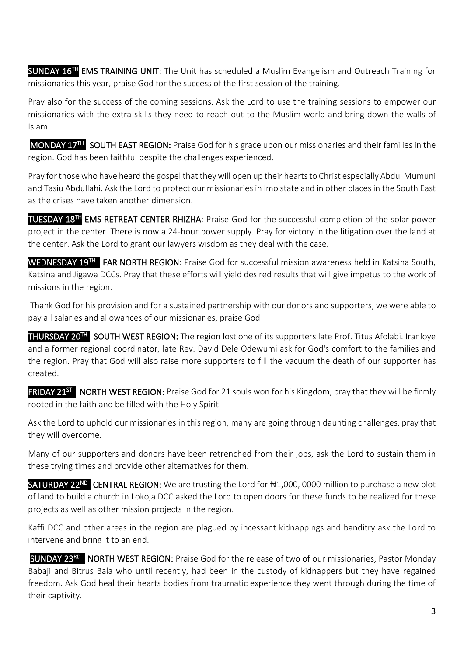SUNDAY 16<sup>TH</sup> EMS TRAINING UNIT: The Unit has scheduled a Muslim Evangelism and Outreach Training for missionaries this year, praise God for the success of the first session of the training.

Pray also for the success of the coming sessions. Ask the Lord to use the training sessions to empower our missionaries with the extra skills they need to reach out to the Muslim world and bring down the walls of Islam.

MONDAY 17<sup>TH</sup> SOUTH EAST REGION: Praise God for his grace upon our missionaries and their families in the region. God has been faithful despite the challenges experienced.

Pray for those who have heard the gospel that they will open up their hearts to Christ especially Abdul Mumuni and Tasiu Abdullahi. Ask the Lord to protect our missionaries in Imo state and in other places in the South East as the crises have taken another dimension.

TUESDAY 18TH EMS RETREAT CENTER RHIZHA: Praise God for the successful completion of the solar power project in the center. There is now a 24-hour power supply. Pray for victory in the litigation over the land at the center. Ask the Lord to grant our lawyers wisdom as they deal with the case.

WEDNESDAY 19<sup>TH</sup> FAR NORTH REGION: Praise God for successful mission awareness held in Katsina South, Katsina and Jigawa DCCs. Pray that these efforts will yield desired results that will give impetus to the work of missions in the region.

Thank God for his provision and for a sustained partnership with our donors and supporters, we were able to pay all salaries and allowances of our missionaries, praise God!

THURSDAY 20<sup>TH</sup> SOUTH WEST REGION: The region lost one of its supporters late Prof. Titus Afolabi. Iranloye and a former regional coordinator, late Rev. David Dele Odewumi ask for God's comfort to the families and the region. Pray that God will also raise more supporters to fill the vacuum the death of our supporter has created.

**FRIDAY 21<sup>ST</sup> NORTH WEST REGION:** Praise God for 21 souls won for his Kingdom, pray that they will be firmly rooted in the faith and be filled with the Holy Spirit.

Ask the Lord to uphold our missionaries in this region, many are going through daunting challenges, pray that they will overcome.

Many of our supporters and donors have been retrenched from their jobs, ask the Lord to sustain them in these trying times and provide other alternatives for them.

SATURDAY 22<sup>ND</sup> CENTRAL REGION: We are trusting the Lord for #1,000, 0000 million to purchase a new plot of land to build a church in Lokoja DCC asked the Lord to open doors for these funds to be realized for these projects as well as other mission projects in the region.

Kaffi DCC and other areas in the region are plagued by incessant kidnappings and banditry ask the Lord to intervene and bring it to an end.

SUNDAY 23RD NORTH WEST REGION: Praise God for the release of two of our missionaries, Pastor Monday Babaji and Bitrus Bala who until recently, had been in the custody of kidnappers but they have regained freedom. Ask God heal their hearts bodies from traumatic experience they went through during the time of their captivity.